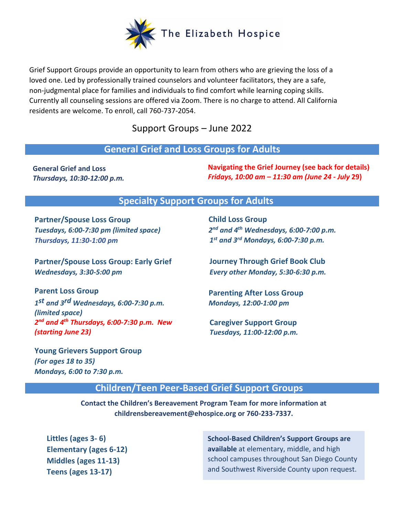

Grief Support Groups provide an opportunity to learn from others who are grieving the loss of a loved one. Led by professionally trained counselors and volunteer facilitators, they are a safe, non-judgmental place for families and individuals to find comfort while learning coping skills. Currently all counseling sessions are offered via Zoom. There is no charge to attend. All California residents are welcome. To enroll, call 760-737-2054.

Support Groups – June 2022

### **General Grief and Loss Groups for Adults**

**General Grief and Loss** *Thursdays, 10:30-12:00 p.m.* **Navigating the Grief Journey (see back for details)** *Fridays, 10:00 am – 11:30 am (June 24 - July* **29)**

### **Specialty Support Groups for Adults**

**Partner/Spouse Loss Group** *Tuesdays, 6:00-7:30 pm (limited space) Thursdays, 11:30-1:00 pm*

**Partner/Spouse Loss Group: Early Grief** *Wednesdays, 3:30-5:00 pm* 

**Parent Loss Group** *1 st and 3rd Wednesdays, 6:00-7:30 p.m. (limited space) 2 nd and 4th Thursdays, 6:00-7:30 p.m. New (starting June 23)*

**Young Grievers Support Group** *(For ages 18 to 35) Mondays, 6:00 to 7:30 p.m.*

**Child Loss Group** *2 nd and 4th Wednesdays, 6:00-7:00 p.m. 1 st and 3rd Mondays, 6:00-7:30 p.m.*

**Journey Through Grief Book Club** *Every other Monday, 5:30-6:30 p.m.*

**Parenting After Loss Group** *Mondays, 12:00-1:00 pm*

**Caregiver Support Group** *Tuesdays, 11:00-12:00 p.m.*

# **Children/Teen Peer-Based Grief Support Groups**

**Contact the Children's Bereavement Program Team for more information at childrensbereavement@ehospice.org or 760-233-7337.**

**Littles (ages 3- 6) Elementary (ages 6-12) Middles (ages 11-13) Teens (ages 13-17)**

**School-Based Children's Support Groups are available** at elementary, middle, and high school campuses throughout San Diego County and Southwest Riverside County upon request.